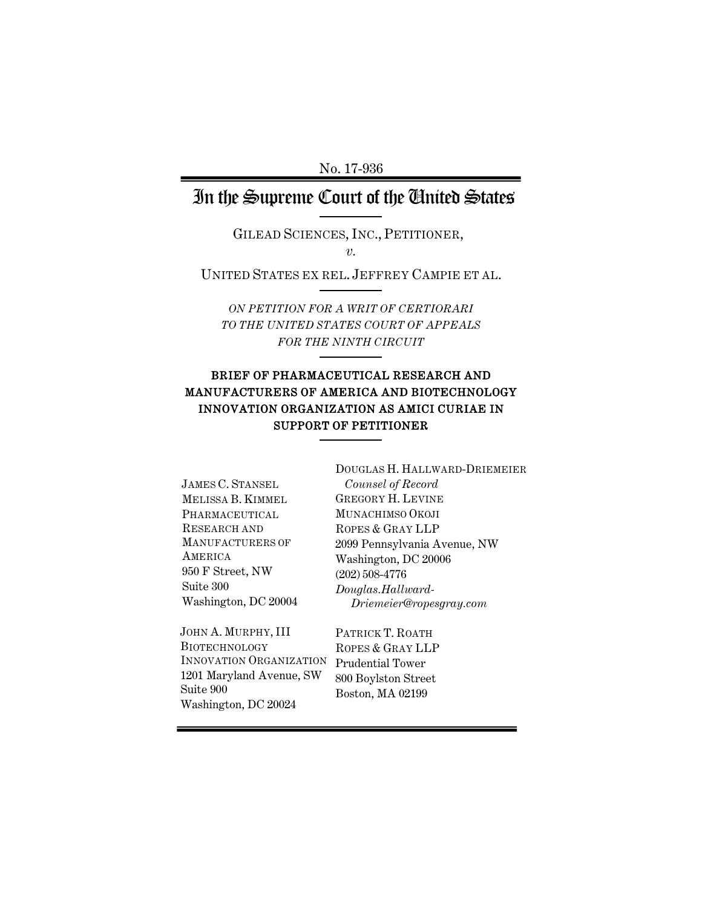## In the Supreme Court of the United States

GILEAD SCIENCES, INC., PETITIONER, *v.*

UNITED STATES EX REL. JEFFREY CAMPIE ET AL.

*ON PETITION FOR A WRIT OF CERTIORARI TO THE UNITED STATES COURT OF APPEALS FOR THE NINTH CIRCUIT*

#### BRIEF OF PHARMACEUTICAL RESEARCH AND MANUFACTURERS OF AMERICA AND BIOTECHNOLOGY INNOVATION ORGANIZATION AS AMICI CURIAE IN SUPPORT OF PETITIONER

JAMES C. STANSEL MELISSA B. KIMMEL PHARMACEUTICAL RESEARCH AND MANUFACTURERS OF **AMERICA** 950 F Street, NW Suite 300 Washington, DC 20004

JOHN A. MURPHY, III BIOTECHNOLOGY INNOVATION ORGANIZATION 1201 Maryland Avenue, SW Suite 900 Washington, DC 20024

DOUGLAS H. HALLWARD-DRIEMEIER *Counsel of Record* GREGORY H. LEVINE MUNACHIMSO OKOJI ROPES & GRAY LLP 2099 Pennsylvania Avenue, NW Washington, DC 20006 (202) 508-4776 *Douglas.Hallward-Driemeier@ropesgray.com*

PATRICK T. ROATH ROPES & GRAY LLP Prudential Tower 800 Boylston Street Boston, MA 02199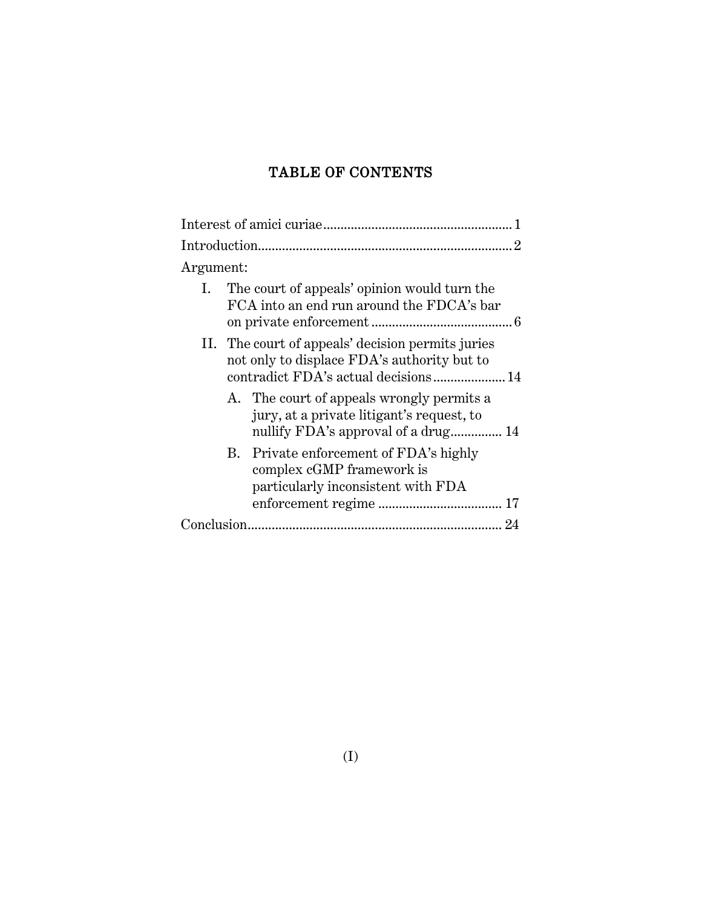### TABLE OF CONTENTS

| $\overline{2}$                                                                                                                |
|-------------------------------------------------------------------------------------------------------------------------------|
| Argument:                                                                                                                     |
| The court of appeals' opinion would turn the<br>Ι.<br>FCA into an end run around the FDCA's bar                               |
| II. The court of appeals' decision permits juries<br>not only to displace FDA's authority but to                              |
| A. The court of appeals wrongly permits a<br>jury, at a private litigant's request, to<br>nullify FDA's approval of a drug 14 |
| B. Private enforcement of FDA's highly<br>complex cGMP framework is<br>particularly inconsistent with FDA                     |
|                                                                                                                               |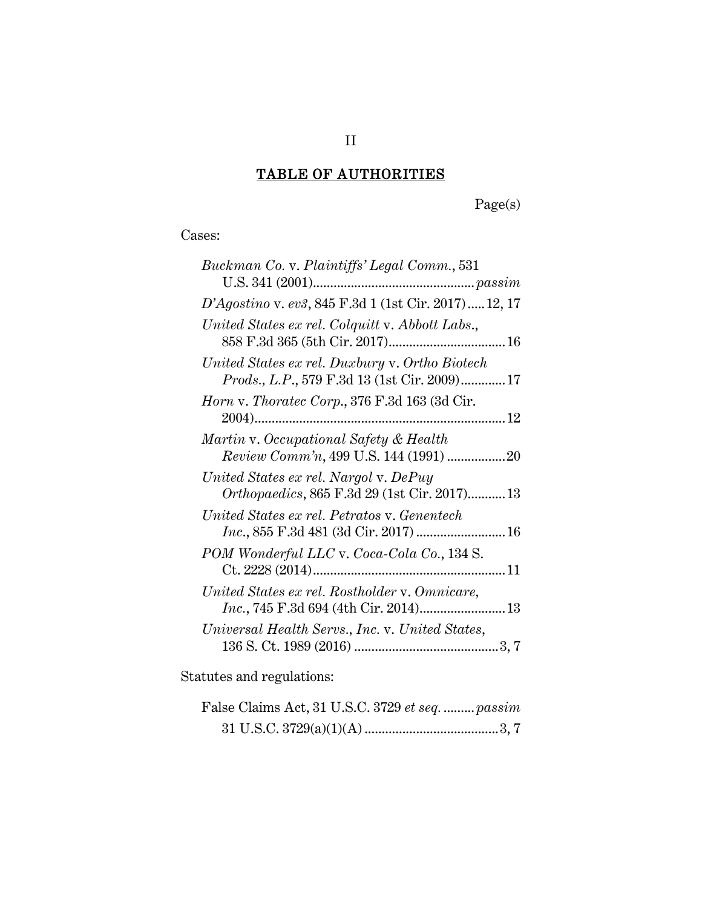# TABLE OF AUTHORITIES

Page(s)

Cases:

| Buckman Co. v. Plaintiffs' Legal Comm., 531                                                    |
|------------------------------------------------------------------------------------------------|
|                                                                                                |
| D'Agostino v. ev3, 845 F.3d 1 (1st Cir. 2017) 12, 17                                           |
| United States ex rel. Colquitt v. Abbott Labs.,                                                |
| United States ex rel. Duxbury v. Ortho Biotech<br>Prods., L.P., 579 F.3d 13 (1st Cir. 2009) 17 |
| Horn v. Thoratec Corp., 376 F.3d 163 (3d Cir.                                                  |
| Martin v. Occupational Safety & Health<br>Review Comm'n, 499 U.S. 144 (1991) 20                |
| United States ex rel. Nargol v. DePuy<br>Orthopaedics, 865 F.3d 29 (1st Cir. 2017) 13          |
| United States ex rel. Petratos v. Genentech<br><i>Inc.</i> , 855 F.3d 481 (3d Cir. 2017)  16   |
| POM Wonderful LLC v. Coca-Cola Co., 134 S.                                                     |
| United States ex rel. Rostholder v. Omnicare,                                                  |
| Universal Health Servs., Inc. v. United States,                                                |
|                                                                                                |

Statutes and regulations:

| False Claims Act, 31 U.S.C. 3729 et seq.  passim |  |
|--------------------------------------------------|--|
|                                                  |  |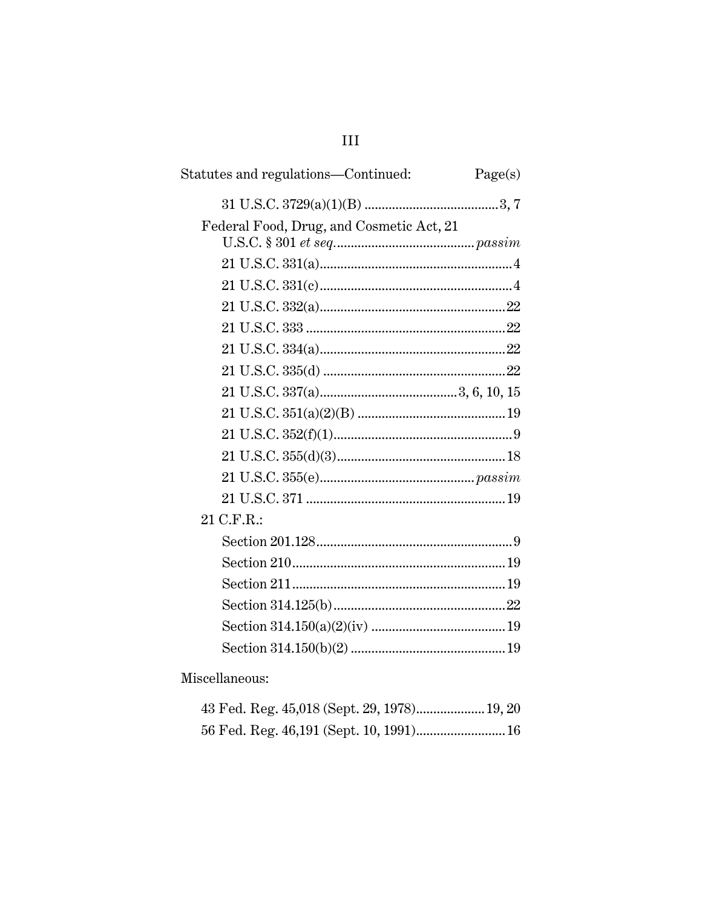## Statutes and regulations—Continued:  $Page(s)$ Federal Food, Drug, and Cosmetic Act, 21 21 C.F.R.:

Miscellaneous:

#### $III$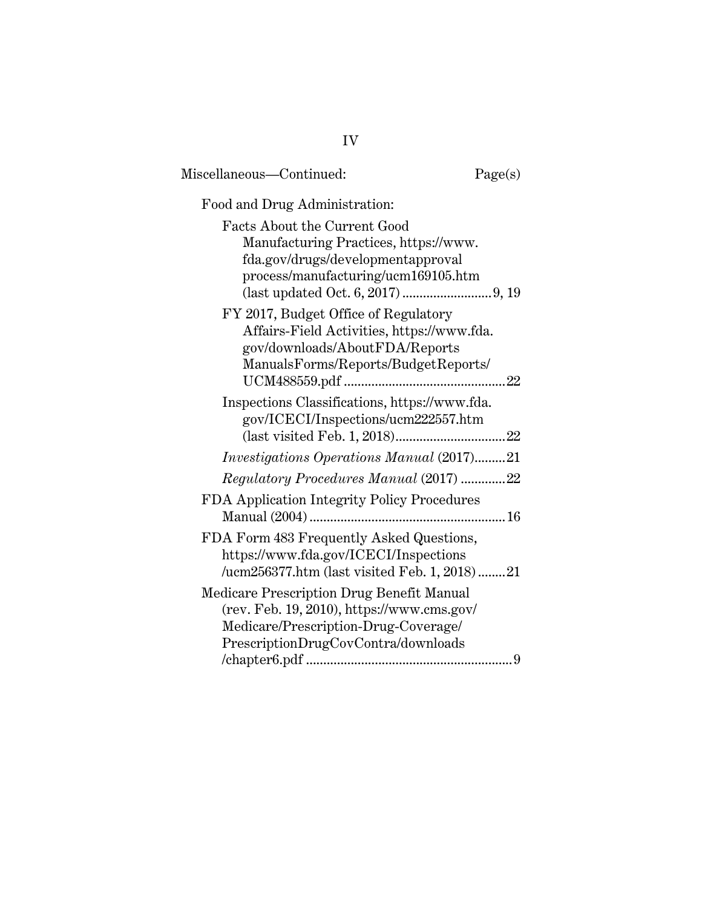| Miscellaneous-Continued:                                                                                                                                               | Page(s) |
|------------------------------------------------------------------------------------------------------------------------------------------------------------------------|---------|
| Food and Drug Administration:                                                                                                                                          |         |
| <b>Facts About the Current Good</b><br>Manufacturing Practices, https://www.<br>fda.gov/drugs/developmentapproval<br>process/manufacturing/ucm169105.htm               |         |
| FY 2017, Budget Office of Regulatory<br>Affairs-Field Activities, https://www.fda.<br>gov/downloads/AboutFDA/Reports<br>ManualsForms/Reports/BudgetReports/            |         |
| Inspections Classifications, https://www.fda.<br>gov/ICECI/Inspections/ucm222557.htm                                                                                   |         |
| <i>Investigations Operations Manual</i> (2017)21                                                                                                                       |         |
| Regulatory Procedures Manual (2017) 22                                                                                                                                 |         |
| FDA Application Integrity Policy Procedures                                                                                                                            |         |
| FDA Form 483 Frequently Asked Questions,<br>https://www.fda.gov/ICECI/Inspections<br>/ucm256377.htm (last visited Feb. 1, 2018)21                                      |         |
| Medicare Prescription Drug Benefit Manual<br>(rev. Feb. 19, 2010), https://www.cms.gov/<br>Medicare/Prescription-Drug-Coverage/<br>PrescriptionDrugCovContra/downloads |         |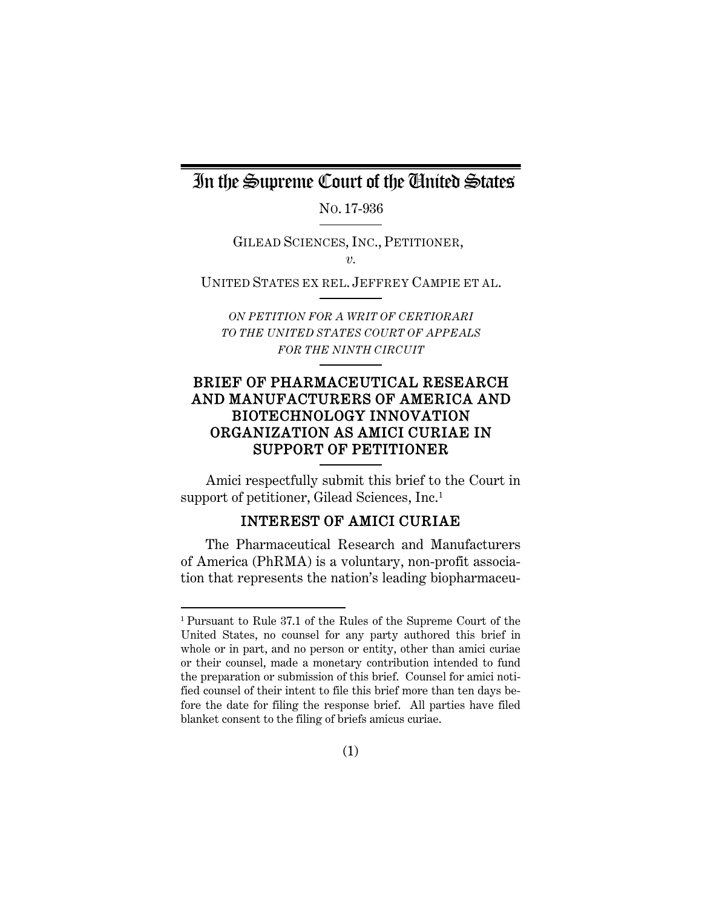### In the Supreme Court of the United States

NO. 17-936

GILEAD SCIENCES, INC., PETITIONER, *v.*

UNITED STATES EX REL. JEFFREY CAMPIE ET AL.

*ON PETITION FOR A WRIT OF CERTIORARI TO THE UNITED STATES COURT OF APPEALS FOR THE NINTH CIRCUIT*

### BRIEF OF PHARMACEUTICAL RESEARCH AND MANUFACTURERS OF AMERICA AND BIOTECHNOLOGY INNOVATION ORGANIZATION AS AMICI CURIAE IN SUPPORT OF PETITIONER

Amici respectfully submit this brief to the Court in support of petitioner, Gilead Sciences, Inc. [1](#page-5-1)

### INTEREST OF AMICI CURIAE

<span id="page-5-0"></span>The Pharmaceutical Research and Manufacturers of America (PhRMA) is a voluntary, non-profit association that represents the nation's leading biopharmaceu-

 $\overline{a}$ 

<span id="page-5-1"></span><sup>1</sup> Pursuant to Rule 37.1 of the Rules of the Supreme Court of the United States, no counsel for any party authored this brief in whole or in part, and no person or entity, other than amici curiae or their counsel, made a monetary contribution intended to fund the preparation or submission of this brief. Counsel for amici notified counsel of their intent to file this brief more than ten days before the date for filing the response brief. All parties have filed blanket consent to the filing of briefs amicus curiae.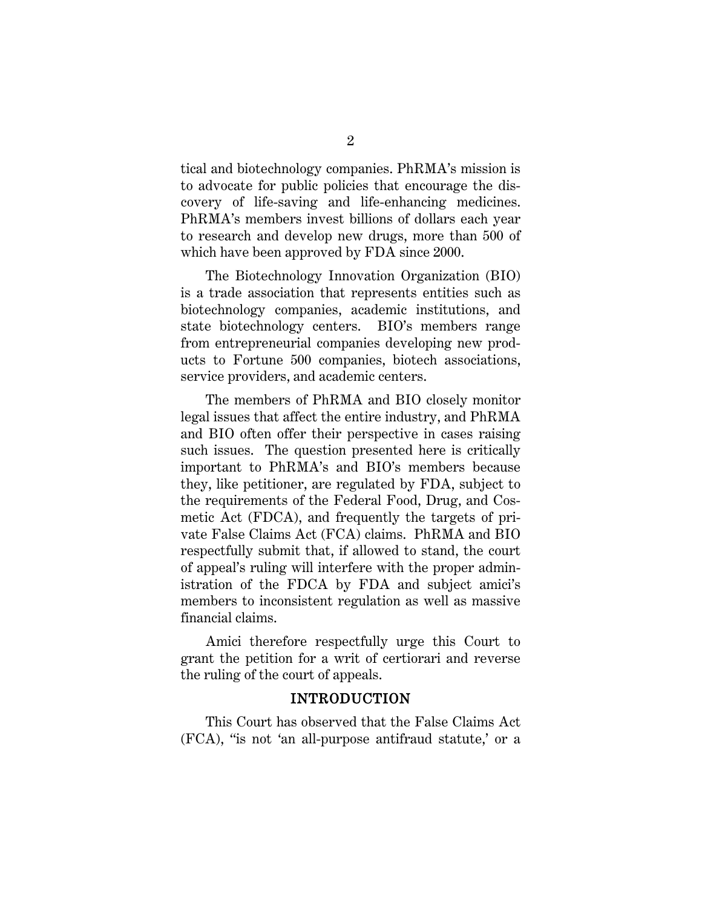tical and biotechnology companies. PhRMA's mission is to advocate for public policies that encourage the discovery of life-saving and life-enhancing medicines. PhRMA's members invest billions of dollars each year to research and develop new drugs, more than 500 of which have been approved by FDA since 2000.

The Biotechnology Innovation Organization (BIO) is a trade association that represents entities such as biotechnology companies, academic institutions, and state biotechnology centers. BIO's members range from entrepreneurial companies developing new products to Fortune 500 companies, biotech associations, service providers, and academic centers.

The members of PhRMA and BIO closely monitor legal issues that affect the entire industry, and PhRMA and BIO often offer their perspective in cases raising such issues. The question presented here is critically important to PhRMA's and BIO's members because they, like petitioner, are regulated by FDA, subject to the requirements of the Federal Food, Drug, and Cosmetic Act (FDCA), and frequently the targets of private False Claims Act (FCA) claims. PhRMA and BIO respectfully submit that, if allowed to stand, the court of appeal's ruling will interfere with the proper administration of the FDCA by FDA and subject amici's members to inconsistent regulation as well as massive financial claims.

Amici therefore respectfully urge this Court to grant the petition for a writ of certiorari and reverse the ruling of the court of appeals.

#### <span id="page-6-1"></span>INTRODUCTION

<span id="page-6-0"></span>This Court has observed that the False Claims Act (FCA), "is not 'an all-purpose antifraud statute,' or a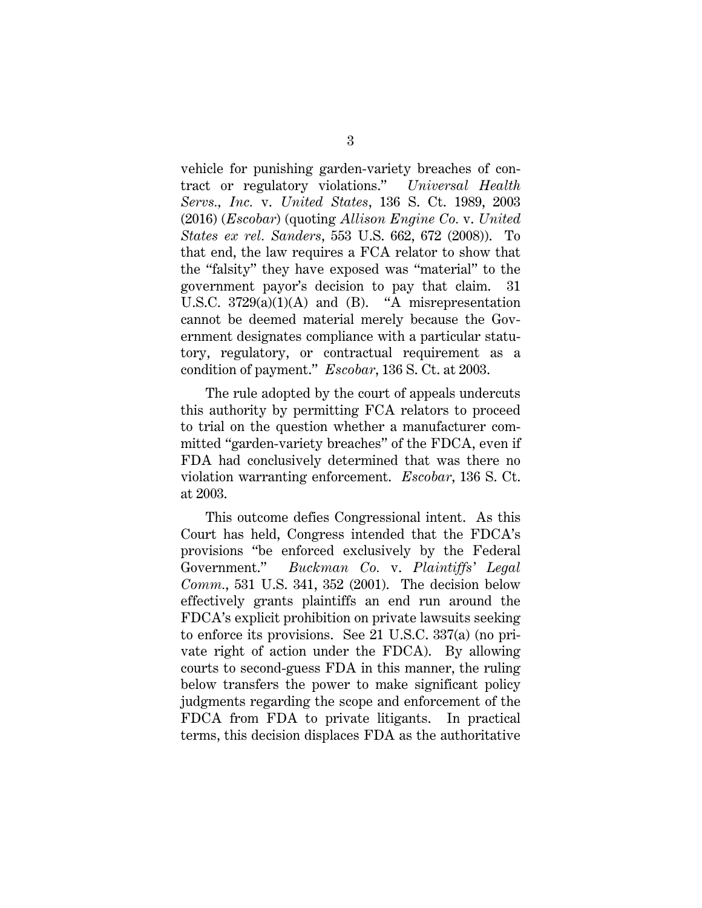<span id="page-7-1"></span>vehicle for punishing garden-variety breaches of contract or regulatory violations." *Universal Health Servs., Inc.* v. *United States*, 136 S. Ct. 1989, 2003 (2016) (*Escobar*) (quoting *Allison Engine Co.* v. *United States ex rel. Sanders*, 553 U.S. 662, 672 (2008)). To that end, the law requires a FCA relator to show that the "falsity" they have exposed was "material" to the government payor's decision to pay that claim. 31 U.S.C. 3729(a)(1)(A) and (B). "A misrepresentation cannot be deemed material merely because the Government designates compliance with a particular statutory, regulatory, or contractual requirement as a condition of payment." *Escobar*, 136 S. Ct. at 2003.

The rule adopted by the court of appeals undercuts this authority by permitting FCA relators to proceed to trial on the question whether a manufacturer committed "garden-variety breaches" of the FDCA, even if FDA had conclusively determined that was there no violation warranting enforcement. *Escobar*, 136 S. Ct. at 2003.

<span id="page-7-0"></span>This outcome defies Congressional intent. As this Court has held, Congress intended that the FDCA's provisions "be enforced exclusively by the Federal Government." *Buckman Co.* v. *Plaintiffs' Legal Comm.*, 531 U.S. 341, 352 (2001). The decision below effectively grants plaintiffs an end run around the FDCA's explicit prohibition on private lawsuits seeking to enforce its provisions. See 21 U.S.C. 337(a) (no private right of action under the FDCA). By allowing courts to second-guess FDA in this manner, the ruling below transfers the power to make significant policy judgments regarding the scope and enforcement of the FDCA from FDA to private litigants. In practical terms, this decision displaces FDA as the authoritative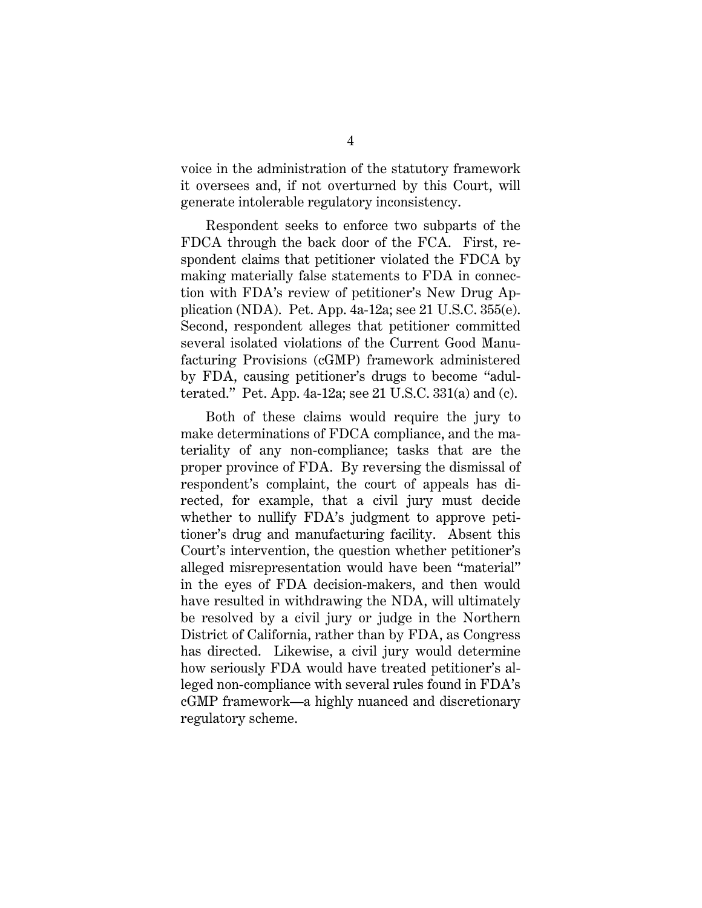voice in the administration of the statutory framework it oversees and, if not overturned by this Court, will generate intolerable regulatory inconsistency.

<span id="page-8-1"></span>Respondent seeks to enforce two subparts of the FDCA through the back door of the FCA. First, respondent claims that petitioner violated the FDCA by making materially false statements to FDA in connection with FDA's review of petitioner's New Drug Application (NDA). Pet. App. 4a-12a; see 21 U.S.C. 355(e). Second, respondent alleges that petitioner committed several isolated violations of the Current Good Manufacturing Provisions (cGMP) framework administered by FDA, causing petitioner's drugs to become "adulterated." Pet. App. 4a-12a; see 21 U.S.C. 331(a) and (c).

<span id="page-8-0"></span>Both of these claims would require the jury to make determinations of FDCA compliance, and the materiality of any non-compliance; tasks that are the proper province of FDA. By reversing the dismissal of respondent's complaint, the court of appeals has directed, for example, that a civil jury must decide whether to nullify FDA's judgment to approve petitioner's drug and manufacturing facility. Absent this Court's intervention, the question whether petitioner's alleged misrepresentation would have been "material" in the eyes of FDA decision-makers, and then would have resulted in withdrawing the NDA, will ultimately be resolved by a civil jury or judge in the Northern District of California, rather than by FDA, as Congress has directed. Likewise, a civil jury would determine how seriously FDA would have treated petitioner's alleged non-compliance with several rules found in FDA's cGMP framework—a highly nuanced and discretionary regulatory scheme.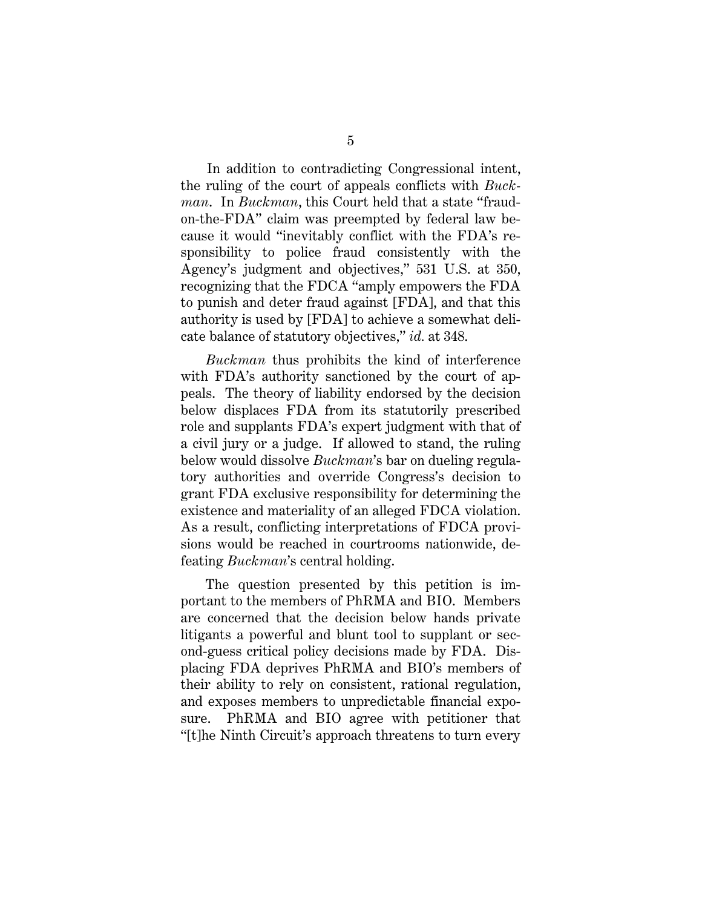In addition to contradicting Congressional intent, the ruling of the court of appeals conflicts with *Buckman*. In *Buckman*, this Court held that a state "fraudon-the-FDA" claim was preempted by federal law because it would "inevitably conflict with the FDA's responsibility to police fraud consistently with the Agency's judgment and objectives," 531 U.S. at 350, recognizing that the FDCA "amply empowers the FDA to punish and deter fraud against [FDA], and that this authority is used by [FDA] to achieve a somewhat delicate balance of statutory objectives," *id.* at 348.

*Buckman* thus prohibits the kind of interference with FDA's authority sanctioned by the court of appeals. The theory of liability endorsed by the decision below displaces FDA from its statutorily prescribed role and supplants FDA's expert judgment with that of a civil jury or a judge. If allowed to stand, the ruling below would dissolve *Buckman*'s bar on dueling regulatory authorities and override Congress's decision to grant FDA exclusive responsibility for determining the existence and materiality of an alleged FDCA violation. As a result, conflicting interpretations of FDCA provisions would be reached in courtrooms nationwide, defeating *Buckman*'s central holding.

The question presented by this petition is important to the members of PhRMA and BIO. Members are concerned that the decision below hands private litigants a powerful and blunt tool to supplant or second-guess critical policy decisions made by FDA. Displacing FDA deprives PhRMA and BIO's members of their ability to rely on consistent, rational regulation, and exposes members to unpredictable financial exposure. PhRMA and BIO agree with petitioner that "[t]he Ninth Circuit's approach threatens to turn every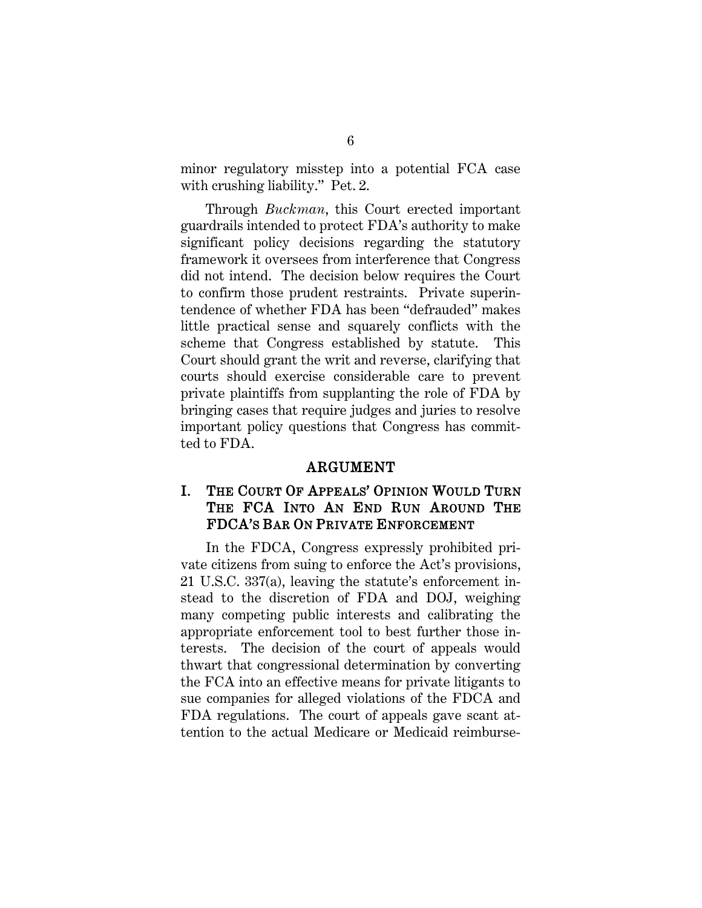minor regulatory misstep into a potential FCA case with crushing liability." Pet. 2.

Through *Buckman*, this Court erected important guardrails intended to protect FDA's authority to make significant policy decisions regarding the statutory framework it oversees from interference that Congress did not intend. The decision below requires the Court to confirm those prudent restraints. Private superintendence of whether FDA has been "defrauded" makes little practical sense and squarely conflicts with the scheme that Congress established by statute. This Court should grant the writ and reverse, clarifying that courts should exercise considerable care to prevent private plaintiffs from supplanting the role of FDA by bringing cases that require judges and juries to resolve important policy questions that Congress has committed to FDA.

#### ARGUMENT

#### <span id="page-10-1"></span><span id="page-10-0"></span>I. THE COURT OF APPEALS' OPINION WOULD TURN THE FCA INTO AN END RUN AROUND THE FDCA'S BAR ON PRIVATE ENFORCEMENT

In the FDCA, Congress expressly prohibited private citizens from suing to enforce the Act's provisions, 21 U.S.C. 337(a), leaving the statute's enforcement instead to the discretion of FDA and DOJ, weighing many competing public interests and calibrating the appropriate enforcement tool to best further those interests. The decision of the court of appeals would thwart that congressional determination by converting the FCA into an effective means for private litigants to sue companies for alleged violations of the FDCA and FDA regulations. The court of appeals gave scant attention to the actual Medicare or Medicaid reimburse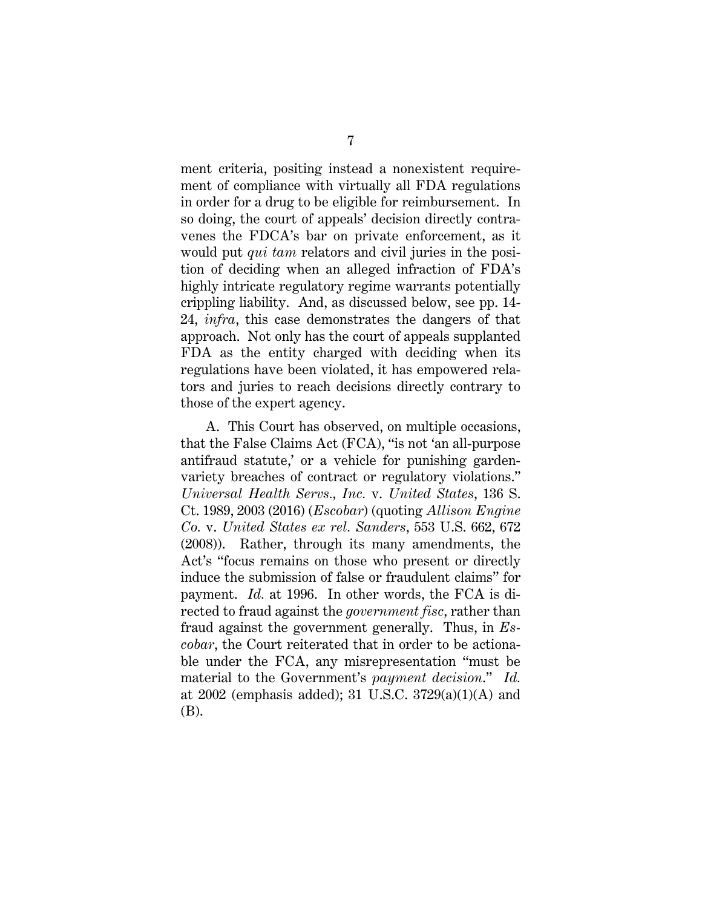ment criteria, positing instead a nonexistent requirement of compliance with virtually all FDA regulations in order for a drug to be eligible for reimbursement. In so doing, the court of appeals' decision directly contravenes the FDCA's bar on private enforcement, as it would put *qui tam* relators and civil juries in the position of deciding when an alleged infraction of FDA's highly intricate regulatory regime warrants potentially crippling liability. And, as discussed below, see pp. 14- 24, *infra*, this case demonstrates the dangers of that approach. Not only has the court of appeals supplanted FDA as the entity charged with deciding when its regulations have been violated, it has empowered relators and juries to reach decisions directly contrary to those of the expert agency.

A. This Court has observed, on multiple occasions, that the False Claims Act (FCA), "is not 'an all-purpose antifraud statute,' or a vehicle for punishing gardenvariety breaches of contract or regulatory violations." *Universal Health Servs., Inc.* v. *United States*, 136 S. Ct. 1989, 2003 (2016) (*Escobar*) (quoting *Allison Engine Co.* v. *United States ex rel. Sanders*, 553 U.S. 662, 672 (2008)). Rather, through its many amendments, the Act's "focus remains on those who present or directly induce the submission of false or fraudulent claims" for payment. *Id.* at 1996. In other words, the FCA is directed to fraud against the *government fisc*, rather than fraud against the government generally. Thus, in *Escobar*, the Court reiterated that in order to be actionable under the FCA, any misrepresentation "must be material to the Government's *payment decision*." *Id.* at 2002 (emphasis added); 31 U.S.C. 3729(a)(1)(A) and (B).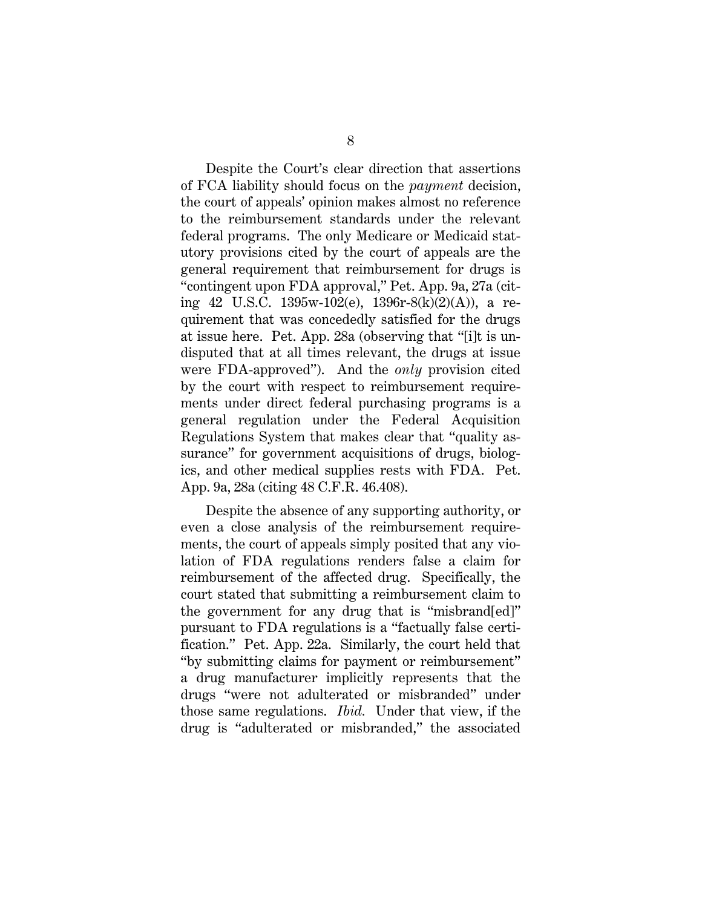Despite the Court's clear direction that assertions of FCA liability should focus on the *payment* decision, the court of appeals' opinion makes almost no reference to the reimbursement standards under the relevant federal programs. The only Medicare or Medicaid statutory provisions cited by the court of appeals are the general requirement that reimbursement for drugs is "contingent upon FDA approval," Pet. App. 9a, 27a (citing 42 U.S.C. 1395w-102(e), 1396r-8(k)(2)(A)), a requirement that was concededly satisfied for the drugs at issue here. Pet. App. 28a (observing that "[i]t is undisputed that at all times relevant, the drugs at issue were FDA-approved"). And the *only* provision cited by the court with respect to reimbursement requirements under direct federal purchasing programs is a general regulation under the Federal Acquisition Regulations System that makes clear that "quality assurance" for government acquisitions of drugs, biologics, and other medical supplies rests with FDA. Pet. App. 9a, 28a (citing 48 C.F.R. 46.408).

Despite the absence of any supporting authority, or even a close analysis of the reimbursement requirements, the court of appeals simply posited that any violation of FDA regulations renders false a claim for reimbursement of the affected drug. Specifically, the court stated that submitting a reimbursement claim to the government for any drug that is "misbrand[ed]" pursuant to FDA regulations is a "factually false certification." Pet. App. 22a. Similarly, the court held that "by submitting claims for payment or reimbursement" a drug manufacturer implicitly represents that the drugs "were not adulterated or misbranded" under those same regulations. *Ibid.* Under that view, if the drug is "adulterated or misbranded," the associated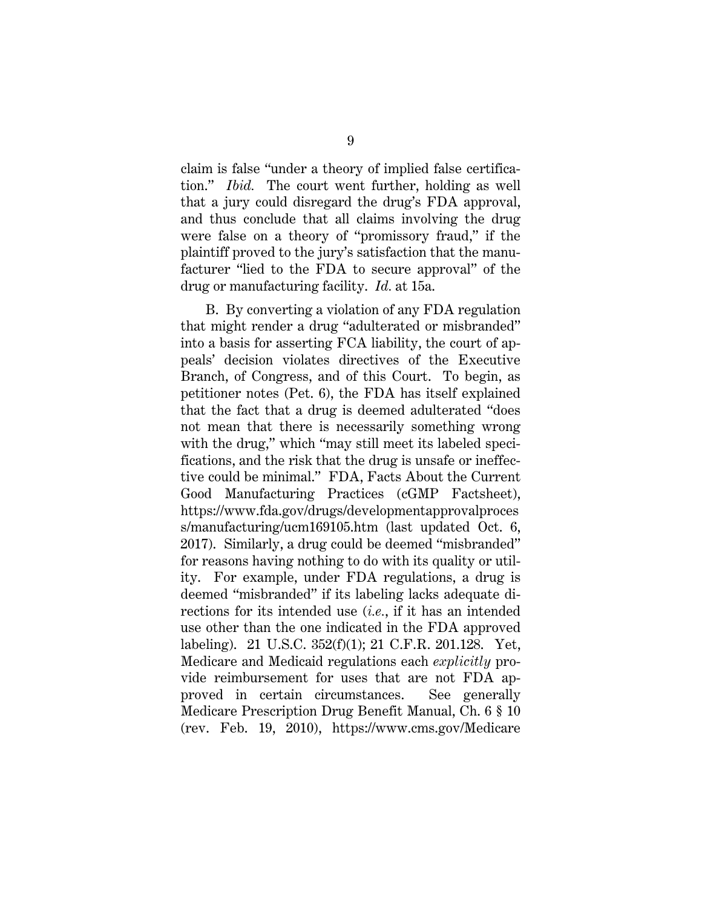claim is false "under a theory of implied false certification." *Ibid.* The court went further, holding as well that a jury could disregard the drug's FDA approval, and thus conclude that all claims involving the drug were false on a theory of "promissory fraud," if the plaintiff proved to the jury's satisfaction that the manufacturer "lied to the FDA to secure approval" of the drug or manufacturing facility. *Id.* at 15a.

<span id="page-13-3"></span><span id="page-13-2"></span><span id="page-13-1"></span><span id="page-13-0"></span>B. By converting a violation of any FDA regulation that might render a drug "adulterated or misbranded" into a basis for asserting FCA liability, the court of appeals' decision violates directives of the Executive Branch, of Congress, and of this Court. To begin, as petitioner notes (Pet. 6), the FDA has itself explained that the fact that a drug is deemed adulterated "does not mean that there is necessarily something wrong with the drug," which "may still meet its labeled specifications, and the risk that the drug is unsafe or ineffective could be minimal." FDA, Facts About the Current Good Manufacturing Practices (cGMP Factsheet), https://www.fda.gov/drugs/developmentapprovalproces s/manufacturing/ucm169105.htm (last updated Oct. 6, 2017). Similarly, a drug could be deemed "misbranded" for reasons having nothing to do with its quality or utility. For example, under FDA regulations, a drug is deemed "misbranded" if its labeling lacks adequate directions for its intended use (*i.e.*, if it has an intended use other than the one indicated in the FDA approved labeling). 21 U.S.C. 352(f)(1); 21 C.F.R. 201.128. Yet, Medicare and Medicaid regulations each *explicitly* provide reimbursement for uses that are not FDA approved in certain circumstances. See generally Medicare Prescription Drug Benefit Manual, Ch. 6 § 10 (rev. Feb. 19, 2010), https://www.cms.gov/Medicare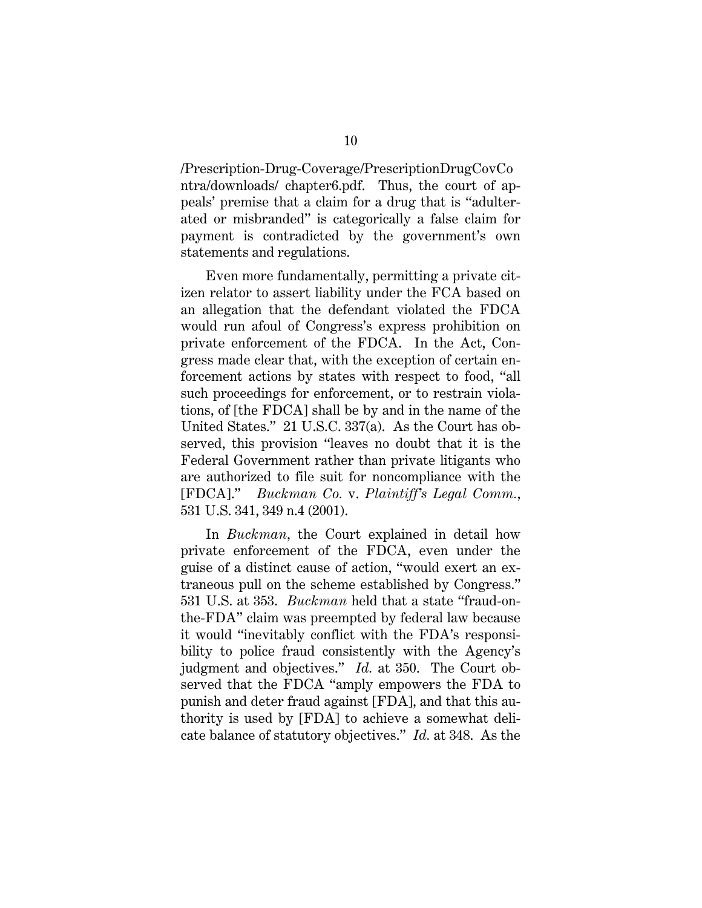/Prescription-Drug-Coverage/PrescriptionDrugCovCo ntra/downloads/ chapter6.pdf. Thus, the court of appeals' premise that a claim for a drug that is "adulterated or misbranded" is categorically a false claim for payment is contradicted by the government's own statements and regulations.

Even more fundamentally, permitting a private citizen relator to assert liability under the FCA based on an allegation that the defendant violated the FDCA would run afoul of Congress's express prohibition on private enforcement of the FDCA. In the Act, Congress made clear that, with the exception of certain enforcement actions by states with respect to food, "all such proceedings for enforcement, or to restrain violations, of [the FDCA] shall be by and in the name of the United States." 21 U.S.C. 337(a). As the Court has observed, this provision "leaves no doubt that it is the Federal Government rather than private litigants who are authorized to file suit for noncompliance with the [FDCA]." *Buckman Co.* v. *Plaintiff's Legal Comm.*, 531 U.S. 341, 349 n.4 (2001).

In *Buckman*, the Court explained in detail how private enforcement of the FDCA, even under the guise of a distinct cause of action, "would exert an extraneous pull on the scheme established by Congress." 531 U.S. at 353. *Buckman* held that a state "fraud-onthe-FDA" claim was preempted by federal law because it would "inevitably conflict with the FDA's responsibility to police fraud consistently with the Agency's judgment and objectives." *Id.* at 350. The Court observed that the FDCA "amply empowers the FDA to punish and deter fraud against [FDA], and that this authority is used by [FDA] to achieve a somewhat delicate balance of statutory objectives." *Id.* at 348. As the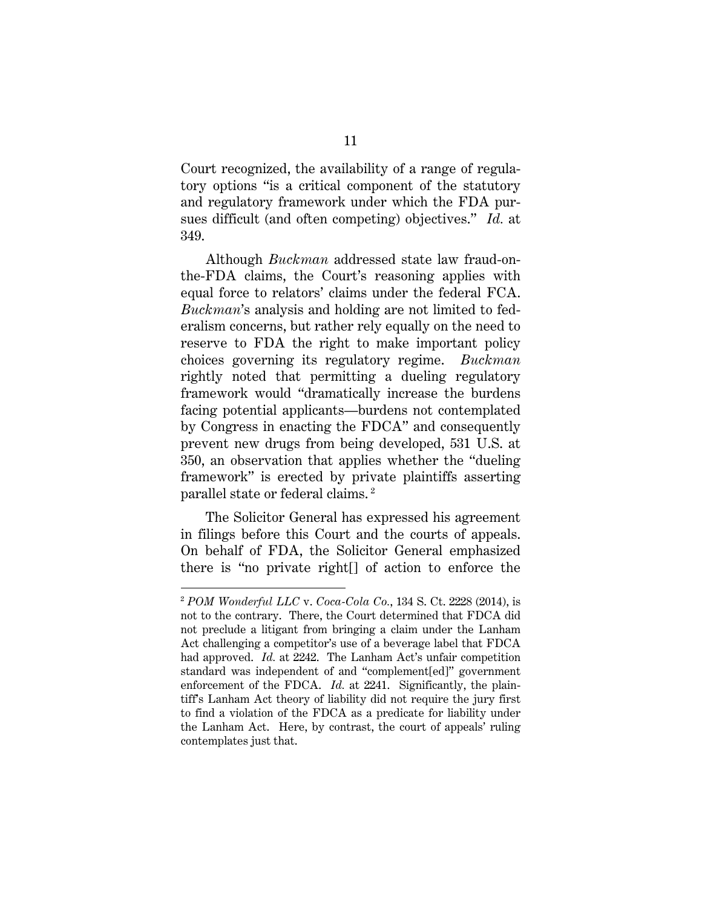Court recognized, the availability of a range of regulatory options "is a critical component of the statutory and regulatory framework under which the FDA pursues difficult (and often competing) objectives." *Id.* at 349.

Although *Buckman* addressed state law fraud-onthe-FDA claims, the Court's reasoning applies with equal force to relators' claims under the federal FCA. *Buckman*'s analysis and holding are not limited to federalism concerns, but rather rely equally on the need to reserve to FDA the right to make important policy choices governing its regulatory regime. *Buckman* rightly noted that permitting a dueling regulatory framework would "dramatically increase the burdens facing potential applicants—burdens not contemplated by Congress in enacting the FDCA" and consequently prevent new drugs from being developed, 531 U.S. at 350, an observation that applies whether the "dueling framework" is erected by private plaintiffs asserting parallel state or federal claims. [2](#page-15-1)

The Solicitor General has expressed his agreement in filings before this Court and the courts of appeals. On behalf of FDA, the Solicitor General emphasized there is "no private right[] of action to enforce the

 $\overline{a}$ 

<span id="page-15-1"></span><span id="page-15-0"></span><sup>2</sup> *POM Wonderful LLC* v. *Coca-Cola Co.*, 134 S. Ct. 2228 (2014), is not to the contrary. There, the Court determined that FDCA did not preclude a litigant from bringing a claim under the Lanham Act challenging a competitor's use of a beverage label that FDCA had approved. *Id.* at 2242. The Lanham Act's unfair competition standard was independent of and "complement[ed]" government enforcement of the FDCA. *Id.* at 2241. Significantly, the plaintiff's Lanham Act theory of liability did not require the jury first to find a violation of the FDCA as a predicate for liability under the Lanham Act. Here, by contrast, the court of appeals' ruling contemplates just that.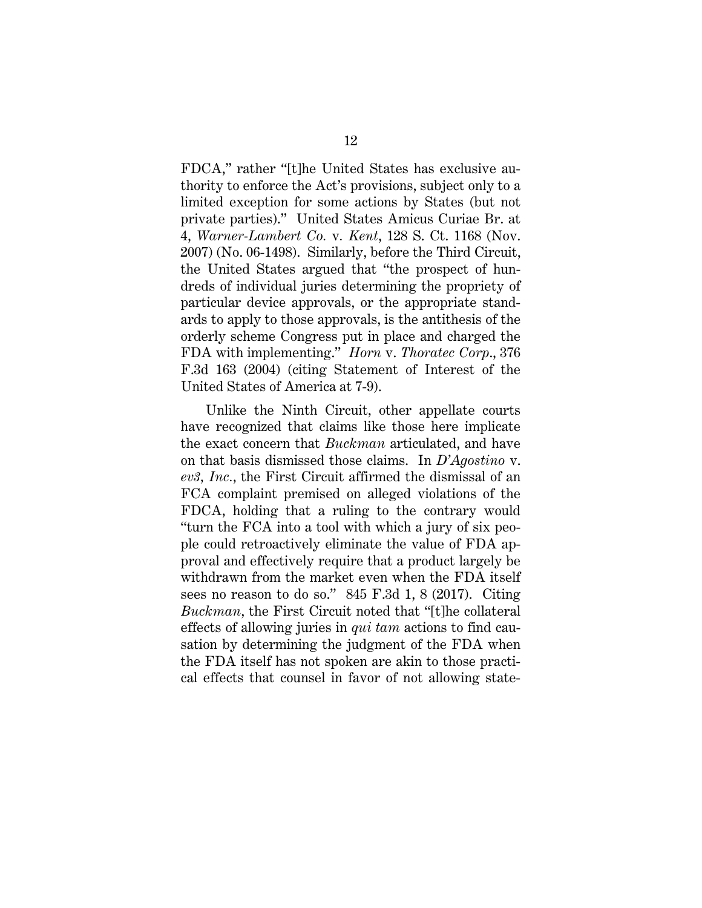FDCA," rather "[t]he United States has exclusive authority to enforce the Act's provisions, subject only to a limited exception for some actions by States (but not private parties)." United States Amicus Curiae Br. at 4, *Warner-Lambert Co.* v*. Kent*, 128 S. Ct. 1168 (Nov. 2007) (No. 06-1498). Similarly, before the Third Circuit, the United States argued that "the prospect of hundreds of individual juries determining the propriety of particular device approvals, or the appropriate standards to apply to those approvals, is the antithesis of the orderly scheme Congress put in place and charged the FDA with implementing." *Horn* v. *Thoratec Corp*., 376 F.3d 163 (2004) (citing Statement of Interest of the United States of America at 7-9).

<span id="page-16-0"></span>Unlike the Ninth Circuit, other appellate courts have recognized that claims like those here implicate the exact concern that *Buckman* articulated, and have on that basis dismissed those claims. In *D'Agostino* v. *ev3, Inc.*, the First Circuit affirmed the dismissal of an FCA complaint premised on alleged violations of the FDCA, holding that a ruling to the contrary would "turn the FCA into a tool with which a jury of six people could retroactively eliminate the value of FDA approval and effectively require that a product largely be withdrawn from the market even when the FDA itself sees no reason to do so." 845 F.3d 1, 8 (2017). Citing *Buckman*, the First Circuit noted that "[t]he collateral effects of allowing juries in *qui tam* actions to find causation by determining the judgment of the FDA when the FDA itself has not spoken are akin to those practical effects that counsel in favor of not allowing state-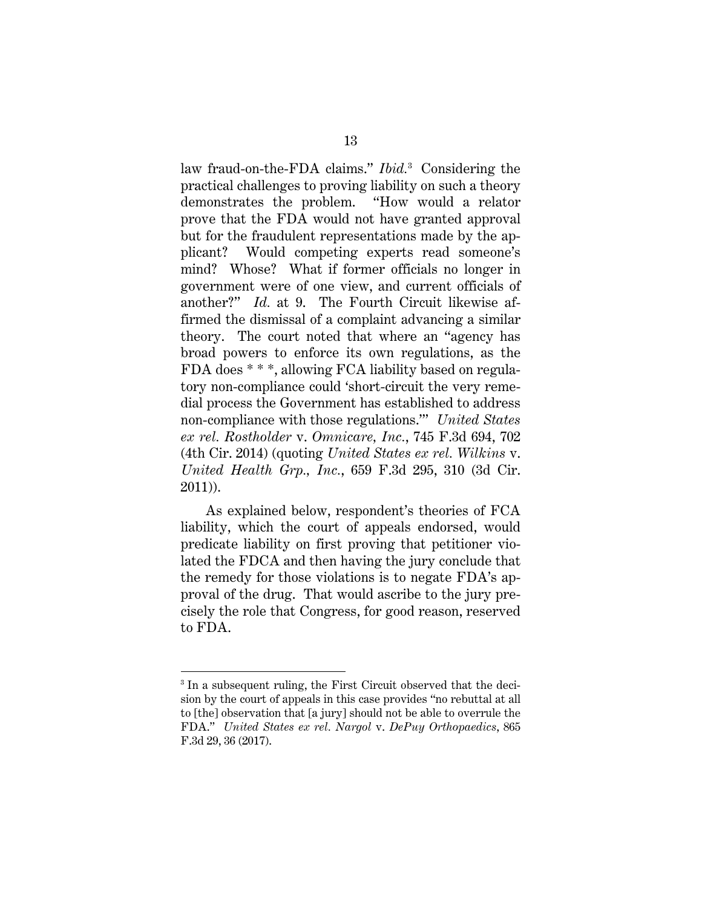law fraud-on-the-FDA claims." *Ibid.*[3](#page-17-2) Considering the practical challenges to proving liability on such a theory demonstrates the problem. "How would a relator prove that the FDA would not have granted approval but for the fraudulent representations made by the applicant? Would competing experts read someone's mind? Whose? What if former officials no longer in government were of one view, and current officials of another?" *Id.* at 9. The Fourth Circuit likewise affirmed the dismissal of a complaint advancing a similar theory. The court noted that where an "agency has broad powers to enforce its own regulations, as the FDA does \* \* \*, allowing FCA liability based on regulatory non-compliance could 'short-circuit the very remedial process the Government has established to address non-compliance with those regulations.'" *United States ex rel. Rostholder* v. *Omnicare, Inc.*, 745 F.3d 694, 702 (4th Cir. 2014) (quoting *United States ex rel. Wilkins* v. *United Health Grp., Inc.*, 659 F.3d 295, 310 (3d Cir. 2011)).

<span id="page-17-1"></span>As explained below, respondent's theories of FCA liability, which the court of appeals endorsed, would predicate liability on first proving that petitioner violated the FDCA and then having the jury conclude that the remedy for those violations is to negate FDA's approval of the drug. That would ascribe to the jury precisely the role that Congress, for good reason, reserved to FDA.

 $\overline{a}$ 

<span id="page-17-2"></span><span id="page-17-0"></span><sup>&</sup>lt;sup>3</sup> In a subsequent ruling, the First Circuit observed that the decision by the court of appeals in this case provides "no rebuttal at all to [the] observation that [a jury] should not be able to overrule the FDA." *United States ex rel. Nargol* v. *DePuy Orthopaedics*, 865 F.3d 29, 36 (2017).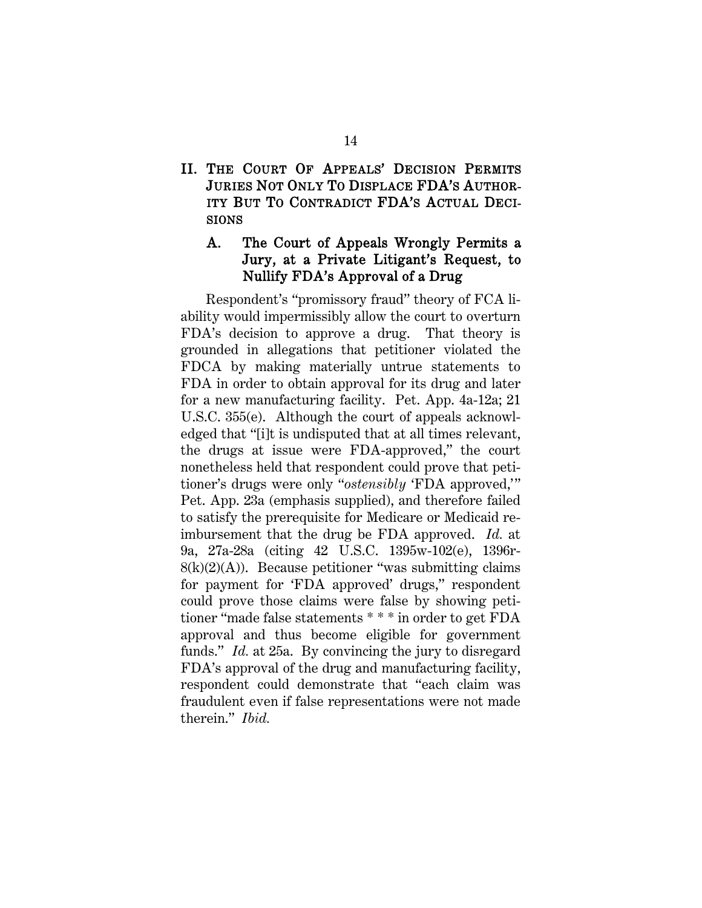### <span id="page-18-0"></span>II. THE COURT OF APPEALS' DECISION PERMITS JURIES NOT ONLY TO DISPLACE FDA'S AUTHOR-ITY BUT TO CONTRADICT FDA'S ACTUAL DECI-SIONS

#### A. The Court of Appeals Wrongly Permits a Jury, at a Private Litigant's Request, to Nullify FDA's Approval of a Drug

Respondent's "promissory fraud" theory of FCA liability would impermissibly allow the court to overturn FDA's decision to approve a drug. That theory is grounded in allegations that petitioner violated the FDCA by making materially untrue statements to FDA in order to obtain approval for its drug and later for a new manufacturing facility. Pet. App. 4a-12a; 21 U.S.C. 355(e). Although the court of appeals acknowledged that "[i]t is undisputed that at all times relevant, the drugs at issue were FDA-approved," the court nonetheless held that respondent could prove that petitioner's drugs were only "*ostensibly* 'FDA approved,'" Pet. App. 23a (emphasis supplied), and therefore failed to satisfy the prerequisite for Medicare or Medicaid reimbursement that the drug be FDA approved. *Id.* at 9a, 27a-28a (citing 42 U.S.C. 1395w-102(e), 1396r- $8(k)(2)(A)$ ). Because petitioner "was submitting claims" for payment for 'FDA approved' drugs," respondent could prove those claims were false by showing petitioner "made false statements \* \* \* in order to get FDA approval and thus become eligible for government funds." *Id.* at 25a. By convincing the jury to disregard FDA's approval of the drug and manufacturing facility, respondent could demonstrate that "each claim was fraudulent even if false representations were not made therein." *Ibid.*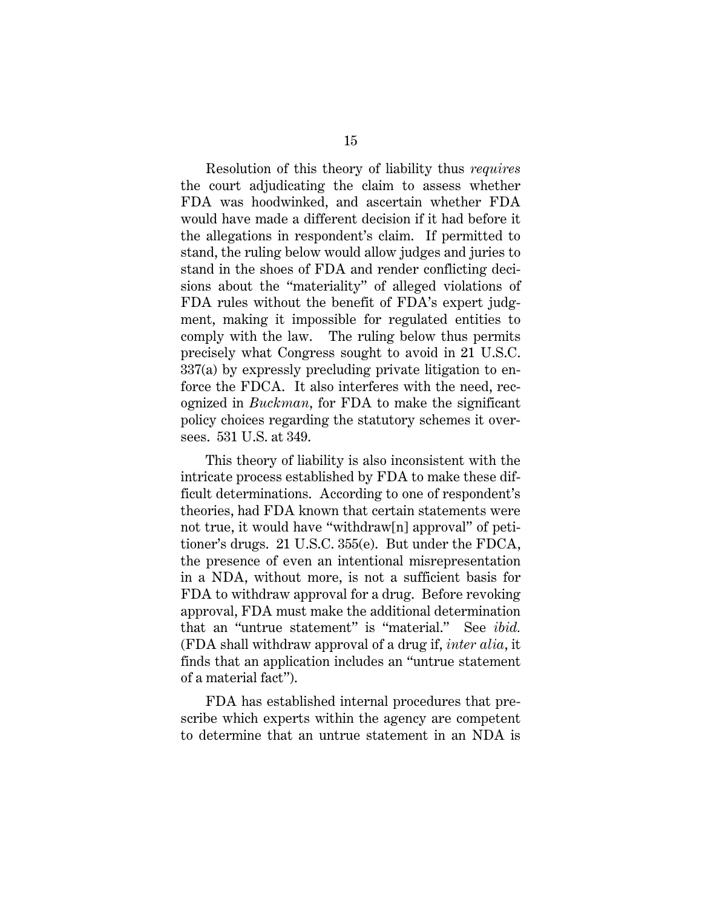Resolution of this theory of liability thus *requires* the court adjudicating the claim to assess whether FDA was hoodwinked, and ascertain whether FDA would have made a different decision if it had before it the allegations in respondent's claim. If permitted to stand, the ruling below would allow judges and juries to stand in the shoes of FDA and render conflicting decisions about the "materiality" of alleged violations of FDA rules without the benefit of FDA's expert judgment, making it impossible for regulated entities to comply with the law. The ruling below thus permits precisely what Congress sought to avoid in 21 U.S.C. 337(a) by expressly precluding private litigation to enforce the FDCA. It also interferes with the need, recognized in *Buckman*, for FDA to make the significant policy choices regarding the statutory schemes it oversees. 531 U.S. at 349.

This theory of liability is also inconsistent with the intricate process established by FDA to make these difficult determinations. According to one of respondent's theories, had FDA known that certain statements were not true, it would have "withdraw[n] approval" of petitioner's drugs. 21 U.S.C. 355(e). But under the FDCA, the presence of even an intentional misrepresentation in a NDA, without more, is not a sufficient basis for FDA to withdraw approval for a drug. Before revoking approval, FDA must make the additional determination that an "untrue statement" is "material." See *ibid.* (FDA shall withdraw approval of a drug if, *inter alia*, it finds that an application includes an "untrue statement of a material fact").

FDA has established internal procedures that prescribe which experts within the agency are competent to determine that an untrue statement in an NDA is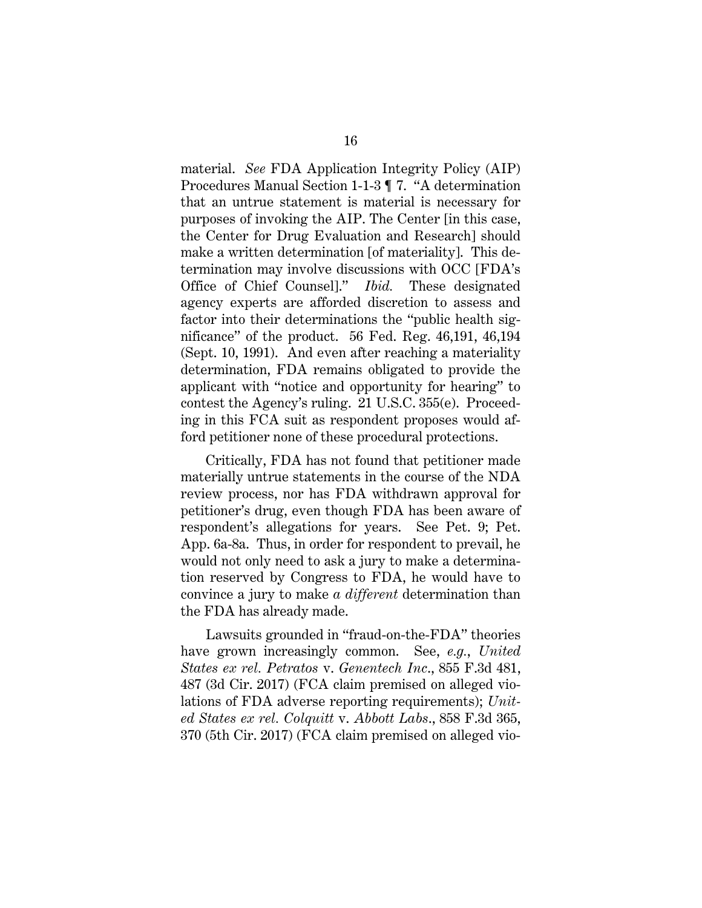<span id="page-20-3"></span>material. *See* FDA Application Integrity Policy (AIP) Procedures Manual Section 1-1-3 ¶ 7. "A determination that an untrue statement is material is necessary for purposes of invoking the AIP. The Center [in this case, the Center for Drug Evaluation and Research] should make a written determination [of materiality]. This determination may involve discussions with OCC [FDA's Office of Chief Counsel]." *Ibid.* These designated agency experts are afforded discretion to assess and factor into their determinations the "public health significance" of the product. 56 Fed. Reg. 46,191, 46,194 (Sept. 10, 1991).And even after reaching a materiality determination, FDA remains obligated to provide the applicant with "notice and opportunity for hearing" to contest the Agency's ruling. 21 U.S.C. 355(e). Proceeding in this FCA suit as respondent proposes would afford petitioner none of these procedural protections.

<span id="page-20-2"></span>Critically, FDA has not found that petitioner made materially untrue statements in the course of the NDA review process, nor has FDA withdrawn approval for petitioner's drug, even though FDA has been aware of respondent's allegations for years. See Pet. 9; Pet. App. 6a-8a. Thus, in order for respondent to prevail, he would not only need to ask a jury to make a determination reserved by Congress to FDA, he would have to convince a jury to make *a different* determination than the FDA has already made.

<span id="page-20-1"></span><span id="page-20-0"></span>Lawsuits grounded in "fraud-on-the-FDA" theories have grown increasingly common. See, *e.g.*, *United States ex rel. Petratos* v. *Genentech Inc*., 855 F.3d 481, 487 (3d Cir. 2017) (FCA claim premised on alleged violations of FDA adverse reporting requirements); *United States ex rel. Colquitt* v. *Abbott Labs*., 858 F.3d 365, 370 (5th Cir. 2017) (FCA claim premised on alleged vio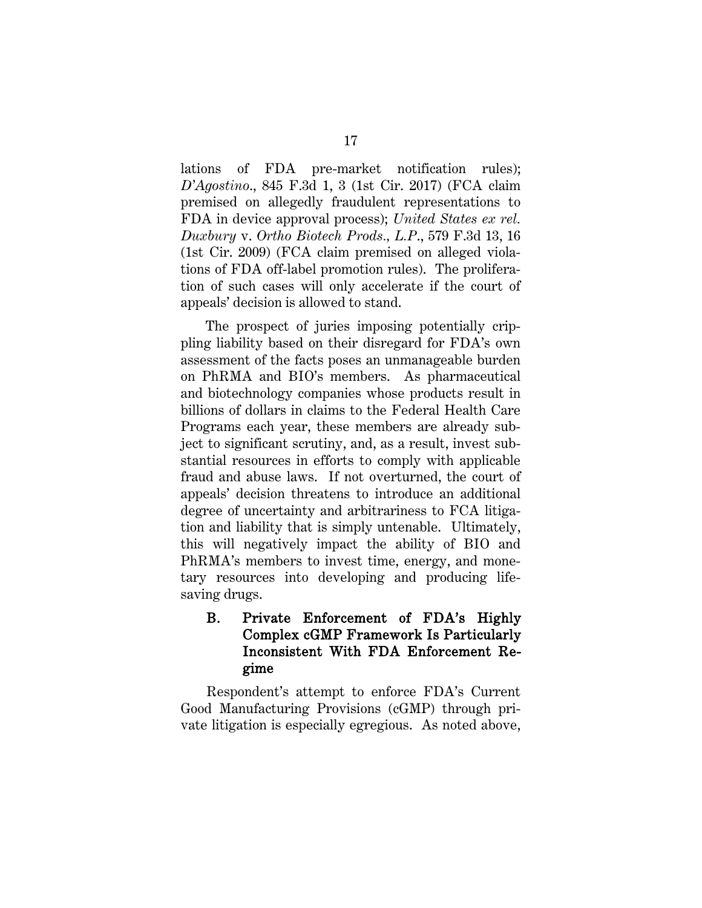<span id="page-21-0"></span>lations of FDA pre-market notification rules); *D'Agostino*., 845 F.3d 1, 3 (1st Cir. 2017) (FCA claim premised on allegedly fraudulent representations to FDA in device approval process); *United States ex rel. Duxbury* v. *Ortho Biotech Prods., L.P*., 579 F.3d 13, 16 (1st Cir. 2009) (FCA claim premised on alleged violations of FDA off-label promotion rules). The proliferation of such cases will only accelerate if the court of appeals' decision is allowed to stand.

The prospect of juries imposing potentially crippling liability based on their disregard for FDA's own assessment of the facts poses an unmanageable burden on PhRMA and BIO's members. As pharmaceutical and biotechnology companies whose products result in billions of dollars in claims to the Federal Health Care Programs each year, these members are already subject to significant scrutiny, and, as a result, invest substantial resources in efforts to comply with applicable fraud and abuse laws. If not overturned, the court of appeals' decision threatens to introduce an additional degree of uncertainty and arbitrariness to FCA litigation and liability that is simply untenable. Ultimately, this will negatively impact the ability of BIO and PhRMA's members to invest time, energy, and monetary resources into developing and producing lifesaving drugs.

### B. Private Enforcement of FDA's Highly Complex cGMP Framework Is Particularly Inconsistent With FDA Enforcement Regime

Respondent's attempt to enforce FDA's Current Good Manufacturing Provisions (cGMP) through private litigation is especially egregious. As noted above,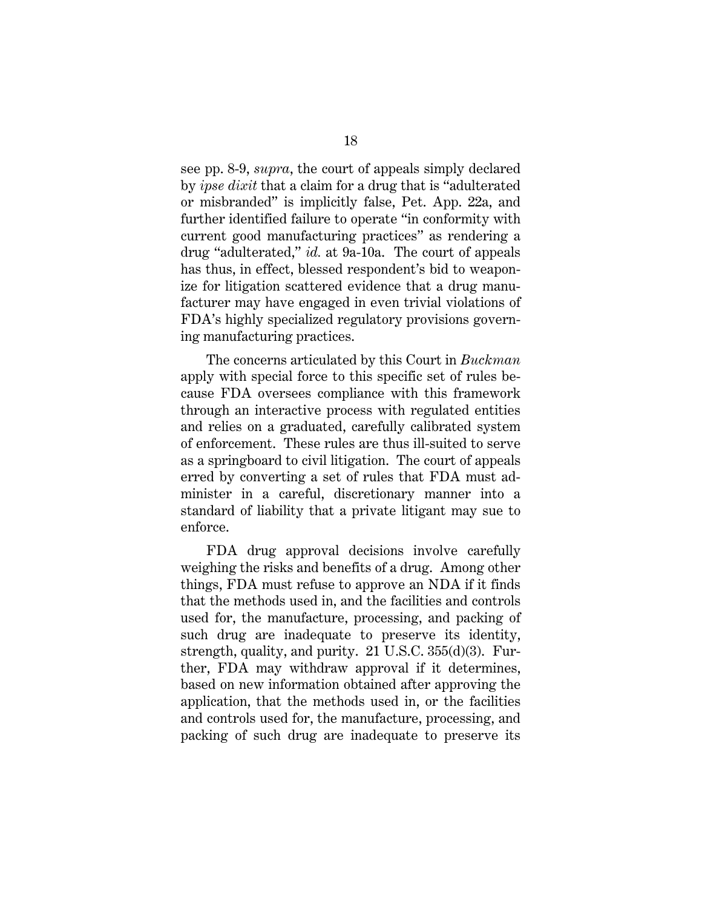see pp. 8-9, *supra*, the court of appeals simply declared by *ipse dixit* that a claim for a drug that is "adulterated or misbranded" is implicitly false, Pet. App. 22a, and further identified failure to operate "in conformity with current good manufacturing practices" as rendering a drug "adulterated," *id.* at 9a-10a. The court of appeals has thus, in effect, blessed respondent's bid to weaponize for litigation scattered evidence that a drug manufacturer may have engaged in even trivial violations of FDA's highly specialized regulatory provisions governing manufacturing practices.

The concerns articulated by this Court in *Buckman* apply with special force to this specific set of rules because FDA oversees compliance with this framework through an interactive process with regulated entities and relies on a graduated, carefully calibrated system of enforcement. These rules are thus ill-suited to serve as a springboard to civil litigation. The court of appeals erred by converting a set of rules that FDA must administer in a careful, discretionary manner into a standard of liability that a private litigant may sue to enforce.

<span id="page-22-0"></span>FDA drug approval decisions involve carefully weighing the risks and benefits of a drug. Among other things, FDA must refuse to approve an NDA if it finds that the methods used in, and the facilities and controls used for, the manufacture, processing, and packing of such drug are inadequate to preserve its identity, strength, quality, and purity. 21 U.S.C. 355(d)(3). Further, FDA may withdraw approval if it determines, based on new information obtained after approving the application, that the methods used in, or the facilities and controls used for, the manufacture, processing, and packing of such drug are inadequate to preserve its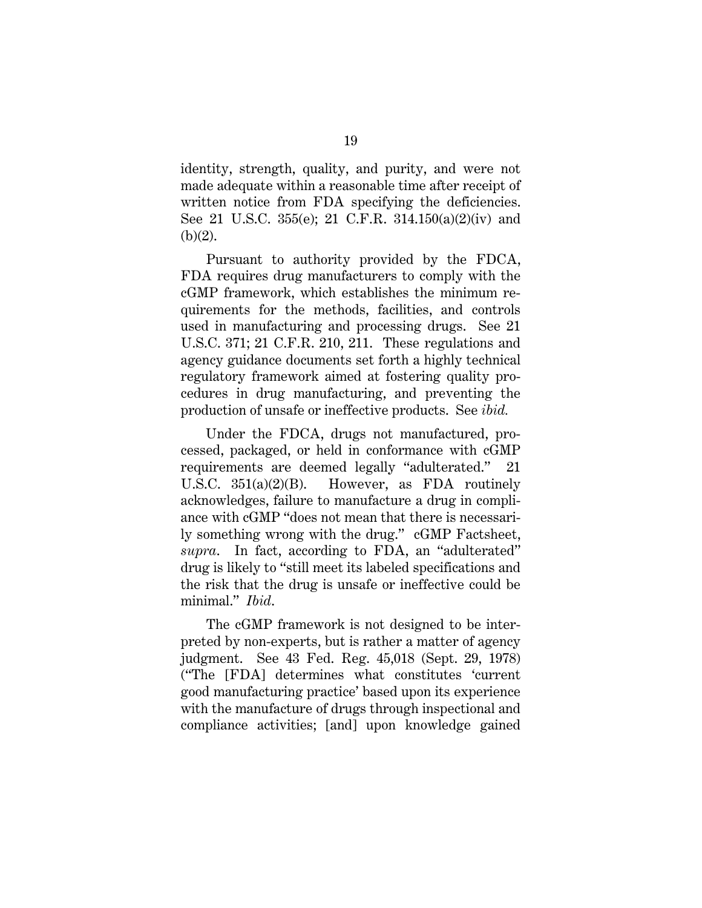identity, strength, quality, and purity, and were not made adequate within a reasonable time after receipt of written notice from FDA specifying the deficiencies. See 21 U.S.C. 355(e); 21 C.F.R. 314.150(a)(2)(iv) and  $(b)(2)$ .

<span id="page-23-3"></span><span id="page-23-2"></span><span id="page-23-1"></span>Pursuant to authority provided by the FDCA, FDA requires drug manufacturers to comply with the cGMP framework, which establishes the minimum requirements for the methods, facilities, and controls used in manufacturing and processing drugs. See 21 U.S.C. 371; 21 C.F.R. 210, 211. These regulations and agency guidance documents set forth a highly technical regulatory framework aimed at fostering quality procedures in drug manufacturing, and preventing the production of unsafe or ineffective products. See *ibid.*

<span id="page-23-0"></span>Under the FDCA, drugs not manufactured, processed, packaged, or held in conformance with cGMP requirements are deemed legally "adulterated." 21 U.S.C. 351(a)(2)(B). However, as FDA routinely acknowledges, failure to manufacture a drug in compliance with cGMP "does not mean that there is necessarily something wrong with the drug." cGMP Factsheet, *supra*. In fact, according to FDA, an "adulterated" drug is likely to "still meet its labeled specifications and the risk that the drug is unsafe or ineffective could be minimal." *Ibid*.

The cGMP framework is not designed to be interpreted by non-experts, but is rather a matter of agency judgment. See 43 Fed. Reg. 45,018 (Sept. 29, 1978) ("The [FDA] determines what constitutes 'current good manufacturing practice' based upon its experience with the manufacture of drugs through inspectional and compliance activities; [and] upon knowledge gained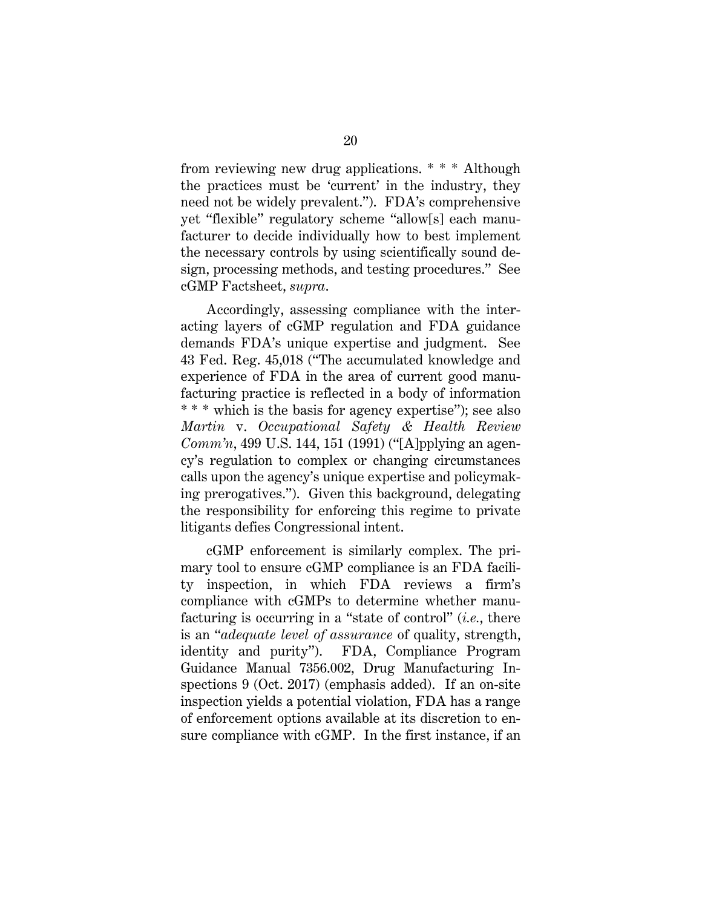from reviewing new drug applications. \* \* \* Although the practices must be 'current' in the industry, they need not be widely prevalent."). FDA's comprehensive yet "flexible" regulatory scheme "allow[s] each manufacturer to decide individually how to best implement the necessary controls by using scientifically sound design, processing methods, and testing procedures." See cGMP Factsheet, *supra*.

<span id="page-24-0"></span>Accordingly, assessing compliance with the interacting layers of cGMP regulation and FDA guidance demands FDA's unique expertise and judgment. See 43 Fed. Reg. 45,018 ("The accumulated knowledge and experience of FDA in the area of current good manufacturing practice is reflected in a body of information \* \* \* which is the basis for agency expertise"); see also *Martin* v. *Occupational Safety & Health Review Comm'n*, 499 U.S. 144, 151 (1991) ("[A]pplying an agency's regulation to complex or changing circumstances calls upon the agency's unique expertise and policymaking prerogatives."). Given this background, delegating the responsibility for enforcing this regime to private litigants defies Congressional intent.

cGMP enforcement is similarly complex. The primary tool to ensure cGMP compliance is an FDA facility inspection, in which FDA reviews a firm's compliance with cGMPs to determine whether manufacturing is occurring in a "state of control" (*i.e.*, there is an "*adequate level of assurance* of quality, strength, identity and purity"). FDA, Compliance Program Guidance Manual 7356.002, Drug Manufacturing Inspections 9 (Oct. 2017) (emphasis added). If an on-site inspection yields a potential violation, FDA has a range of enforcement options available at its discretion to ensure compliance with cGMP. In the first instance, if an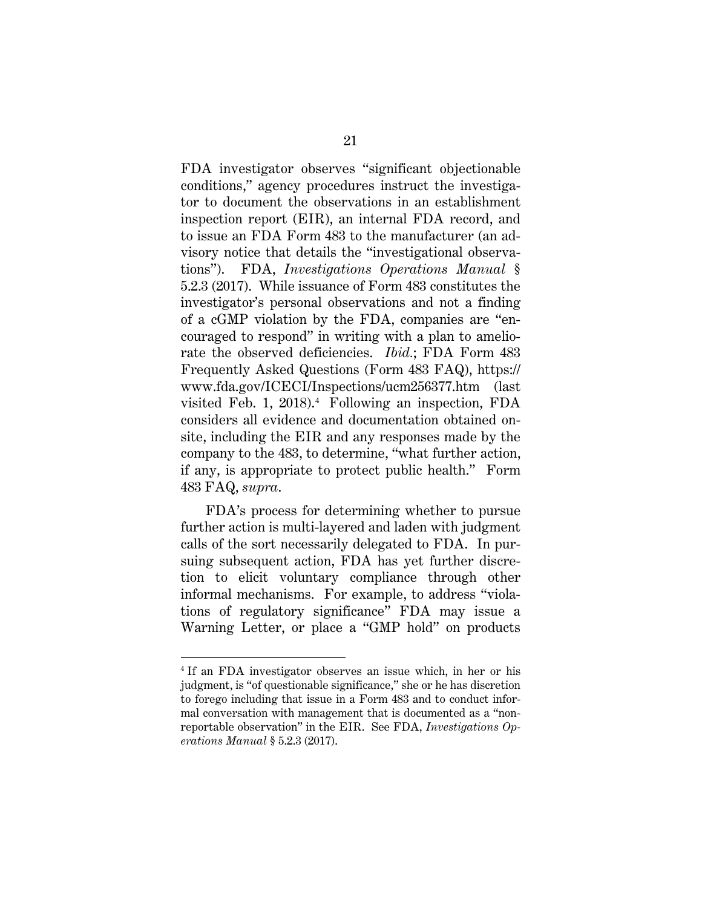<span id="page-25-0"></span>FDA investigator observes "significant objectionable conditions," agency procedures instruct the investigator to document the observations in an establishment inspection report (EIR), an internal FDA record, and to issue an FDA Form 483 to the manufacturer (an advisory notice that details the "investigational observations"). FDA, *Investigations Operations Manual* § 5.2.3 (2017). While issuance of Form 483 constitutes the investigator's personal observations and not a finding of a cGMP violation by the FDA, companies are "encouraged to respond" in writing with a plan to ameliorate the observed deficiencies. *Ibid.*; FDA Form 483 Frequently Asked Questions (Form 483 FAQ), https:// www.fda.gov/ICECI/Inspections/ucm256377.htm (last visited Feb. 1, 2018). [4](#page-25-2) Following an inspection, FDA considers all evidence and documentation obtained onsite, including the EIR and any responses made by the company to the 483, to determine, "what further action, if any, is appropriate to protect public health." Form 483 FAQ, *supra*.

<span id="page-25-1"></span>FDA's process for determining whether to pursue further action is multi-layered and laden with judgment calls of the sort necessarily delegated to FDA. In pursuing subsequent action, FDA has yet further discretion to elicit voluntary compliance through other informal mechanisms. For example, to address "violations of regulatory significance" FDA may issue a Warning Letter, or place a "GMP hold" on products

 $\overline{a}$ 

<span id="page-25-2"></span><sup>&</sup>lt;sup>4</sup> If an FDA investigator observes an issue which, in her or his judgment, is "of questionable significance," she or he has discretion to forego including that issue in a Form 483 and to conduct informal conversation with management that is documented as a "nonreportable observation" in the EIR. See FDA, *Investigations Operations Manual* § 5.2.3 (2017).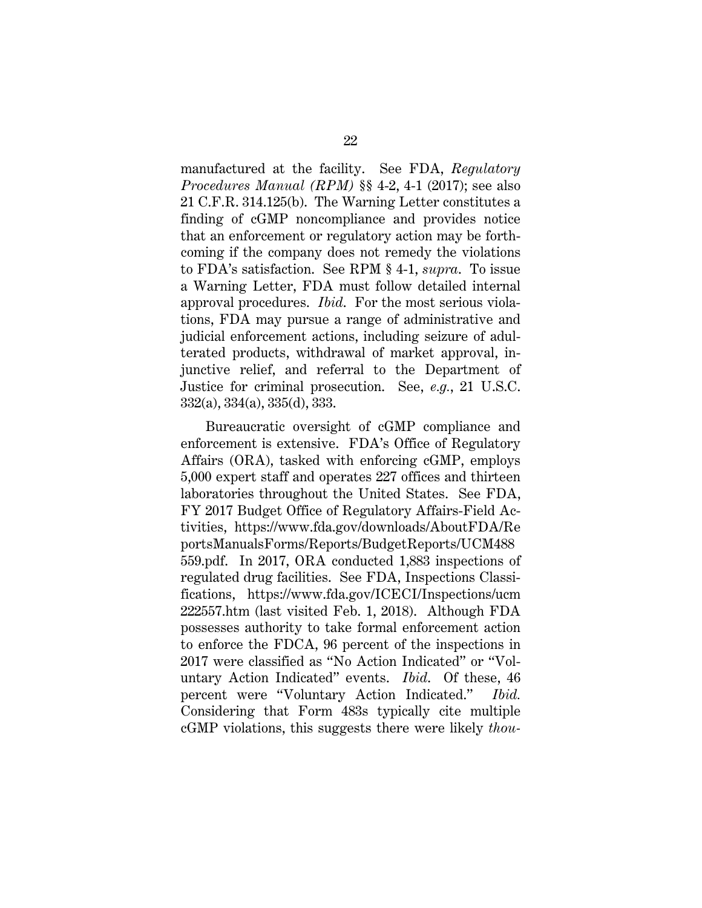<span id="page-26-4"></span><span id="page-26-1"></span>manufactured at the facility. See FDA, *Regulatory Procedures Manual (RPM)* §§ 4-2, 4-1 (2017); see also 21 C.F.R. 314.125(b). The Warning Letter constitutes a finding of cGMP noncompliance and provides notice that an enforcement or regulatory action may be forthcoming if the company does not remedy the violations to FDA's satisfaction. See RPM § 4-1, *supra*. To issue a Warning Letter, FDA must follow detailed internal approval procedures. *Ibid*. For the most serious violations, FDA may pursue a range of administrative and judicial enforcement actions, including seizure of adulterated products, withdrawal of market approval, injunctive relief, and referral to the Department of Justice for criminal prosecution. See, *e.g.*, 21 U.S.C. 332(a), 334(a), 335(d), 333.

<span id="page-26-3"></span><span id="page-26-2"></span><span id="page-26-0"></span>Bureaucratic oversight of cGMP compliance and enforcement is extensive. FDA's Office of Regulatory Affairs (ORA), tasked with enforcing cGMP, employs 5,000 expert staff and operates 227 offices and thirteen laboratories throughout the United States. See FDA, FY 2017 Budget Office of Regulatory Affairs-Field Activities, https://www.fda.gov/downloads/AboutFDA/Re portsManualsForms/Reports/BudgetReports/UCM488 559.pdf. In 2017, ORA conducted 1,883 inspections of regulated drug facilities. See FDA, Inspections Classifications, https://www.fda.gov/ICECI/Inspections/ucm 222557.htm (last visited Feb. 1, 2018). Although FDA possesses authority to take formal enforcement action to enforce the FDCA, 96 percent of the inspections in 2017 were classified as "No Action Indicated" or "Voluntary Action Indicated" events. *Ibid*. Of these, 46 percent were "Voluntary Action Indicated." *Ibid.* Considering that Form 483s typically cite multiple cGMP violations, this suggests there were likely *thou-*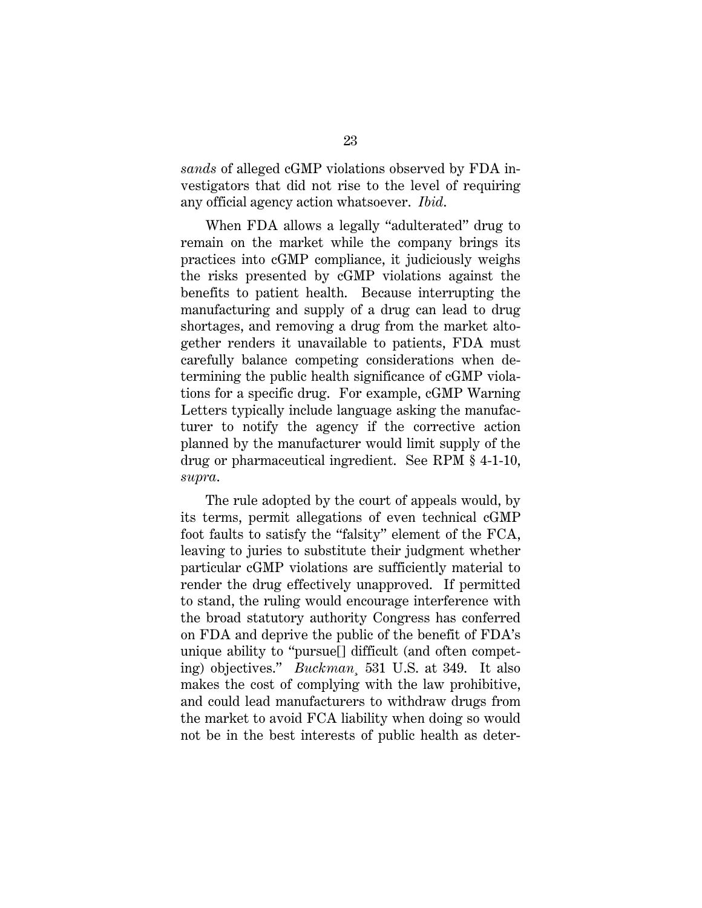*sands* of alleged cGMP violations observed by FDA investigators that did not rise to the level of requiring any official agency action whatsoever. *Ibid*.

When FDA allows a legally "adulterated" drug to remain on the market while the company brings its practices into cGMP compliance, it judiciously weighs the risks presented by cGMP violations against the benefits to patient health. Because interrupting the manufacturing and supply of a drug can lead to drug shortages, and removing a drug from the market altogether renders it unavailable to patients, FDA must carefully balance competing considerations when determining the public health significance of cGMP violations for a specific drug. For example, cGMP Warning Letters typically include language asking the manufacturer to notify the agency if the corrective action planned by the manufacturer would limit supply of the drug or pharmaceutical ingredient. See RPM § 4-1-10, *supra*.

The rule adopted by the court of appeals would, by its terms, permit allegations of even technical cGMP foot faults to satisfy the "falsity" element of the FCA, leaving to juries to substitute their judgment whether particular cGMP violations are sufficiently material to render the drug effectively unapproved. If permitted to stand, the ruling would encourage interference with the broad statutory authority Congress has conferred on FDA and deprive the public of the benefit of FDA's unique ability to "pursue[] difficult (and often competing) objectives." *Buckman¸* 531 U.S. at 349. It also makes the cost of complying with the law prohibitive, and could lead manufacturers to withdraw drugs from the market to avoid FCA liability when doing so would not be in the best interests of public health as deter